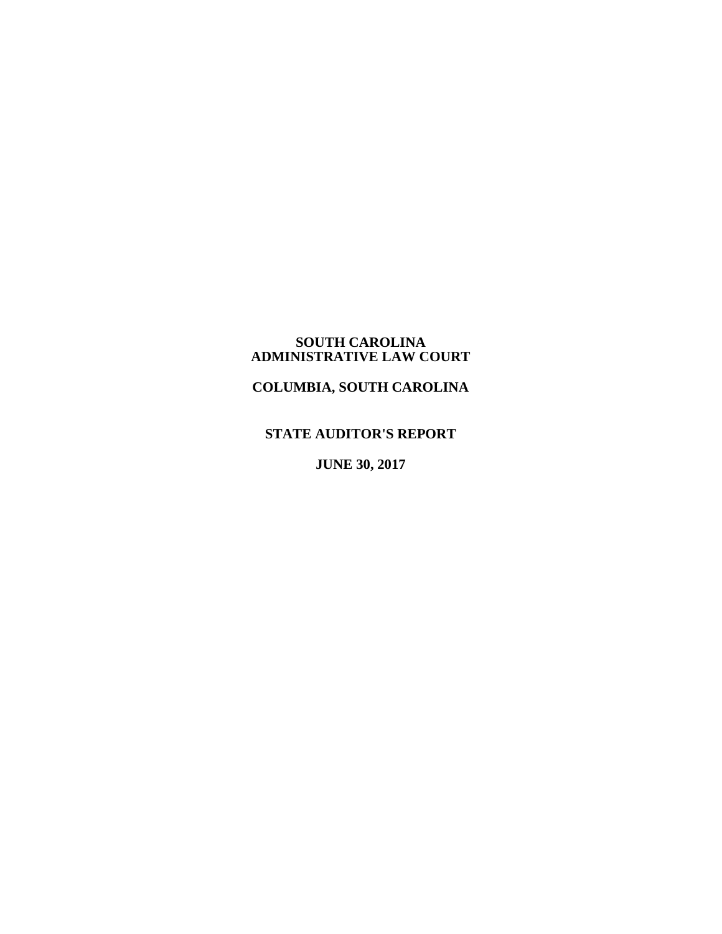#### **SOUTH CAROLINA ADMINISTRATIVE LAW COURT**

**COLUMBIA, SOUTH CAROLINA**

# **STATE AUDITOR'S REPORT**

**JUNE 30, 2017**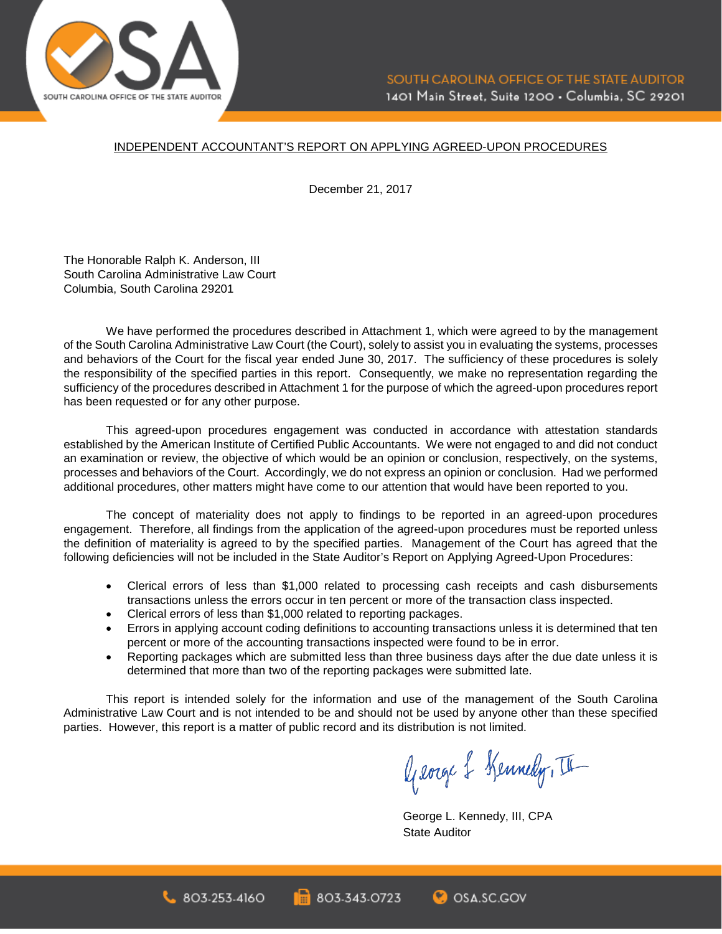

#### INDEPENDENT ACCOUNTANT'S REPORT ON APPLYING AGREED-UPON PROCEDURES

December 21, 2017

The Honorable Ralph K. Anderson, III South Carolina Administrative Law Court Columbia, South Carolina 29201

We have performed the procedures described in Attachment 1, which were agreed to by the management of the South Carolina Administrative Law Court (the Court), solely to assist you in evaluating the systems, processes and behaviors of the Court for the fiscal year ended June 30, 2017. The sufficiency of these procedures is solely the responsibility of the specified parties in this report. Consequently, we make no representation regarding the sufficiency of the procedures described in Attachment 1 for the purpose of which the agreed-upon procedures report has been requested or for any other purpose.

This agreed-upon procedures engagement was conducted in accordance with attestation standards established by the American Institute of Certified Public Accountants. We were not engaged to and did not conduct an examination or review, the objective of which would be an opinion or conclusion, respectively, on the systems, processes and behaviors of the Court. Accordingly, we do not express an opinion or conclusion. Had we performed additional procedures, other matters might have come to our attention that would have been reported to you.

The concept of materiality does not apply to findings to be reported in an agreed-upon procedures engagement. Therefore, all findings from the application of the agreed-upon procedures must be reported unless the definition of materiality is agreed to by the specified parties. Management of the Court has agreed that the following deficiencies will not be included in the State Auditor's Report on Applying Agreed-Upon Procedures:

- Clerical errors of less than \$1,000 related to processing cash receipts and cash disbursements transactions unless the errors occur in ten percent or more of the transaction class inspected.
- Clerical errors of less than \$1,000 related to reporting packages.
- Errors in applying account coding definitions to accounting transactions unless it is determined that ten percent or more of the accounting transactions inspected were found to be in error.
- Reporting packages which are submitted less than three business days after the due date unless it is determined that more than two of the reporting packages were submitted late.

This report is intended solely for the information and use of the management of the South Carolina Administrative Law Court and is not intended to be and should not be used by anyone other than these specified parties. However, this report is a matter of public record and its distribution is not limited.

George & Kennedy, II

George L. Kennedy, III, CPA State Auditor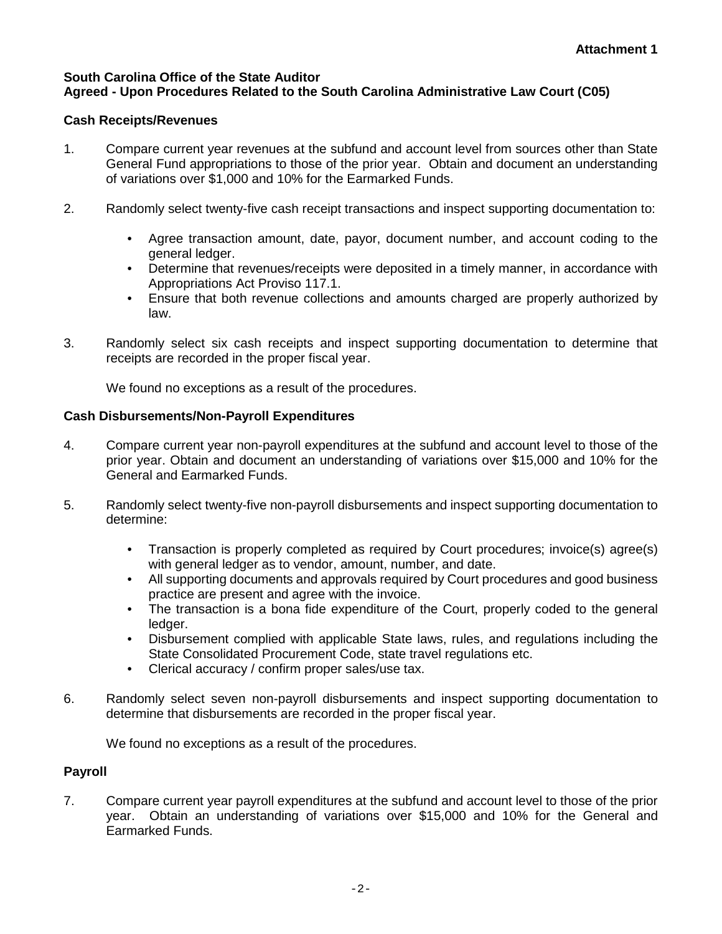### **South Carolina Office of the State Auditor Agreed - Upon Procedures Related to the South Carolina Administrative Law Court (C05)**

## **Cash Receipts/Revenues**

- 1. Compare current year revenues at the subfund and account level from sources other than State General Fund appropriations to those of the prior year. Obtain and document an understanding of variations over \$1,000 and 10% for the Earmarked Funds.
- 2. Randomly select twenty-five cash receipt transactions and inspect supporting documentation to:
	- Agree transaction amount, date, payor, document number, and account coding to the general ledger.
	- Determine that revenues/receipts were deposited in a timely manner, in accordance with Appropriations Act Proviso 117.1.
	- Ensure that both revenue collections and amounts charged are properly authorized by law.
- 3. Randomly select six cash receipts and inspect supporting documentation to determine that receipts are recorded in the proper fiscal year.

We found no exceptions as a result of the procedures.

## **Cash Disbursements/Non-Payroll Expenditures**

- 4. Compare current year non-payroll expenditures at the subfund and account level to those of the prior year. Obtain and document an understanding of variations over \$15,000 and 10% for the General and Earmarked Funds.
- 5. Randomly select twenty-five non-payroll disbursements and inspect supporting documentation to determine:
	- Transaction is properly completed as required by Court procedures; invoice(s) agree(s) with general ledger as to vendor, amount, number, and date.
	- All supporting documents and approvals required by Court procedures and good business practice are present and agree with the invoice.
	- The transaction is a bona fide expenditure of the Court, properly coded to the general ledger.
	- Disbursement complied with applicable State laws, rules, and regulations including the State Consolidated Procurement Code, state travel regulations etc.
	- Clerical accuracy / confirm proper sales/use tax.
- 6. Randomly select seven non-payroll disbursements and inspect supporting documentation to determine that disbursements are recorded in the proper fiscal year.

We found no exceptions as a result of the procedures.

# **Payroll**

7. Compare current year payroll expenditures at the subfund and account level to those of the prior year. Obtain an understanding of variations over \$15,000 and 10% for the General and Earmarked Funds.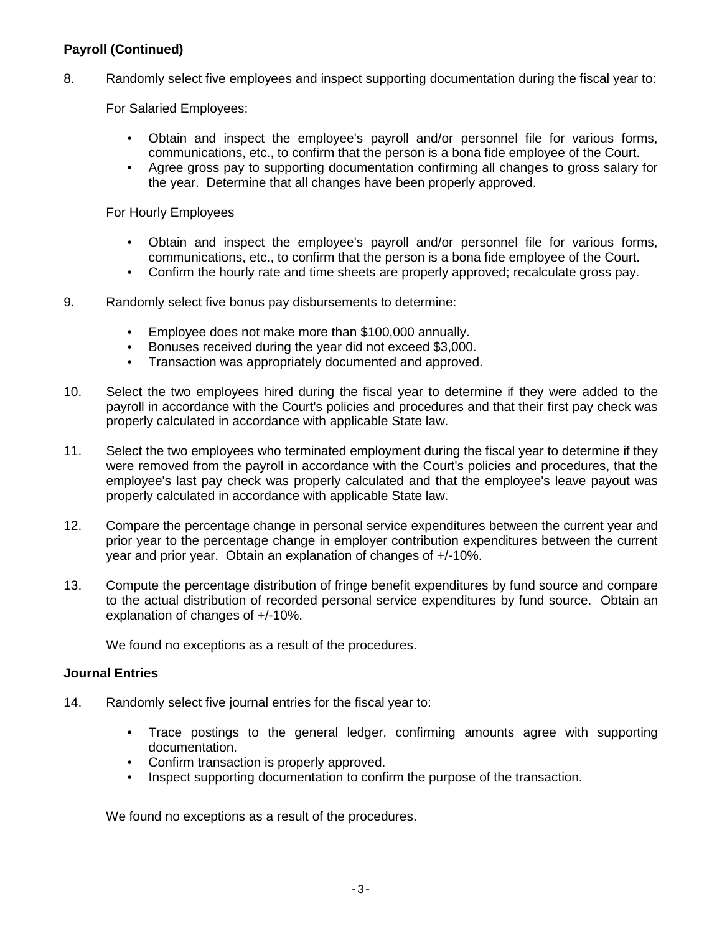# **Payroll (Continued)**

8. Randomly select five employees and inspect supporting documentation during the fiscal year to:

For Salaried Employees:

- Obtain and inspect the employee's payroll and/or personnel file for various forms, communications, etc., to confirm that the person is a bona fide employee of the Court.
- Agree gross pay to supporting documentation confirming all changes to gross salary for the year. Determine that all changes have been properly approved.

For Hourly Employees

- Obtain and inspect the employee's payroll and/or personnel file for various forms, communications, etc., to confirm that the person is a bona fide employee of the Court.
- Confirm the hourly rate and time sheets are properly approved; recalculate gross pay.
- 9. Randomly select five bonus pay disbursements to determine:
	- Employee does not make more than \$100,000 annually.
	- Bonuses received during the year did not exceed \$3,000.
	- Transaction was appropriately documented and approved.
- 10. Select the two employees hired during the fiscal year to determine if they were added to the payroll in accordance with the Court's policies and procedures and that their first pay check was properly calculated in accordance with applicable State law.
- 11. Select the two employees who terminated employment during the fiscal year to determine if they were removed from the payroll in accordance with the Court's policies and procedures, that the employee's last pay check was properly calculated and that the employee's leave payout was properly calculated in accordance with applicable State law.
- 12. Compare the percentage change in personal service expenditures between the current year and prior year to the percentage change in employer contribution expenditures between the current year and prior year. Obtain an explanation of changes of +/-10%.
- 13. Compute the percentage distribution of fringe benefit expenditures by fund source and compare to the actual distribution of recorded personal service expenditures by fund source. Obtain an explanation of changes of +/-10%.

We found no exceptions as a result of the procedures.

#### **Journal Entries**

- 14. Randomly select five journal entries for the fiscal year to:
	- Trace postings to the general ledger, confirming amounts agree with supporting documentation.
	- Confirm transaction is properly approved.
	- Inspect supporting documentation to confirm the purpose of the transaction.

We found no exceptions as a result of the procedures.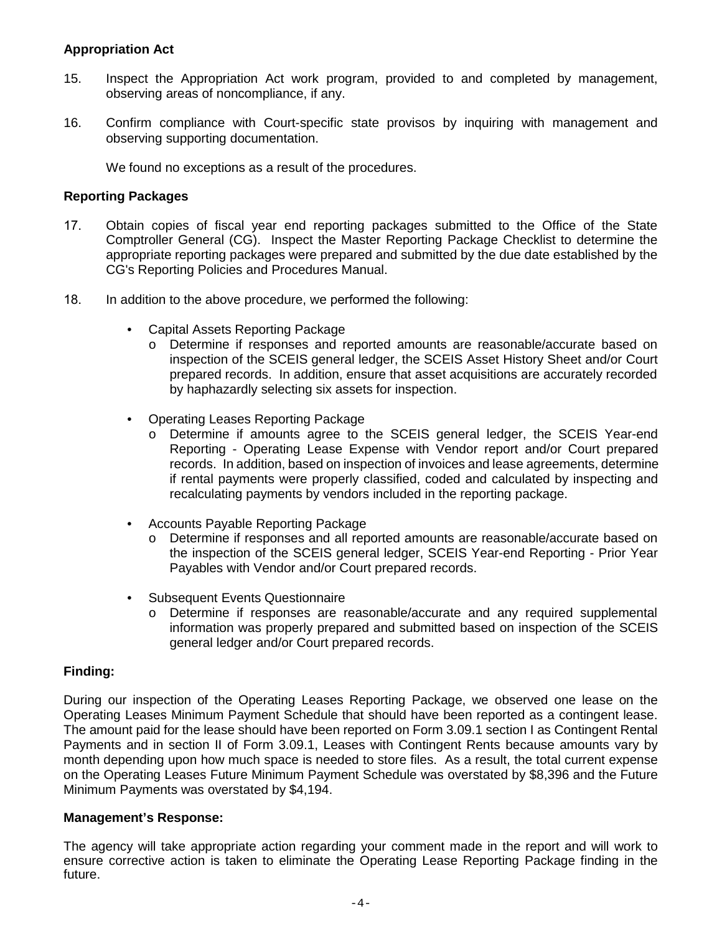### **Appropriation Act**

- 15. Inspect the Appropriation Act work program, provided to and completed by management, observing areas of noncompliance, if any.
- 16. Confirm compliance with Court-specific state provisos by inquiring with management and observing supporting documentation.

We found no exceptions as a result of the procedures.

#### **Reporting Packages**

- 17. Obtain copies of fiscal year end reporting packages submitted to the Office of the State Comptroller General (CG). Inspect the Master Reporting Package Checklist to determine the appropriate reporting packages were prepared and submitted by the due date established by the CG's Reporting Policies and Procedures Manual.
- 18. In addition to the above procedure, we performed the following:
	- Capital Assets Reporting Package
		- o Determine if responses and reported amounts are reasonable/accurate based on inspection of the SCEIS general ledger, the SCEIS Asset History Sheet and/or Court prepared records. In addition, ensure that asset acquisitions are accurately recorded by haphazardly selecting six assets for inspection.
	- Operating Leases Reporting Package
		- o Determine if amounts agree to the SCEIS general ledger, the SCEIS Year-end Reporting - Operating Lease Expense with Vendor report and/or Court prepared records. In addition, based on inspection of invoices and lease agreements, determine if rental payments were properly classified, coded and calculated by inspecting and recalculating payments by vendors included in the reporting package.
	- Accounts Payable Reporting Package
		- o Determine if responses and all reported amounts are reasonable/accurate based on the inspection of the SCEIS general ledger, SCEIS Year-end Reporting - Prior Year Payables with Vendor and/or Court prepared records.
	- Subsequent Events Questionnaire
		- o Determine if responses are reasonable/accurate and any required supplemental information was properly prepared and submitted based on inspection of the SCEIS general ledger and/or Court prepared records.

### **Finding:**

During our inspection of the Operating Leases Reporting Package, we observed one lease on the Operating Leases Minimum Payment Schedule that should have been reported as a contingent lease. The amount paid for the lease should have been reported on Form 3.09.1 section I as Contingent Rental Payments and in section II of Form 3.09.1, Leases with Contingent Rents because amounts vary by month depending upon how much space is needed to store files. As a result, the total current expense on the Operating Leases Future Minimum Payment Schedule was overstated by \$8,396 and the Future Minimum Payments was overstated by \$4,194.

#### **Management's Response:**

The agency will take appropriate action regarding your comment made in the report and will work to ensure corrective action is taken to eliminate the Operating Lease Reporting Package finding in the future.